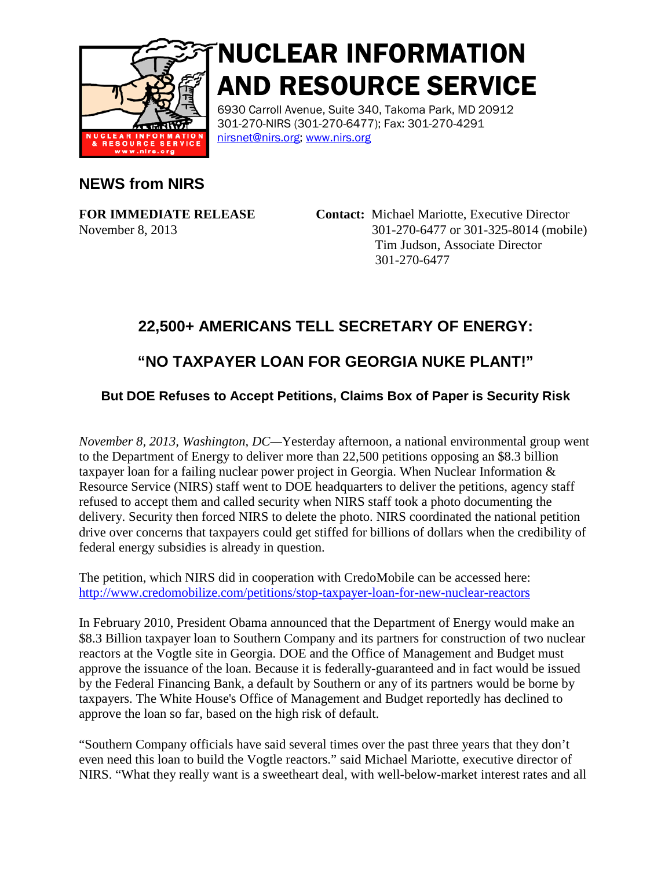

# NUCLEAR INFORMATION AND RESOURCE SERVICE

6930 Carroll Avenue, Suite 340, Takoma Park, MD 20912 301-270-NIRS (301-270-6477); Fax: 301-270-4291 [nirsnet@nirs.org;](mailto:nirsnet@nirs.org) [www.nirs.org](http://www.nirs.org/)

#### **NEWS from NIRS**

**FOR IMMEDIATE RELEASE Contact:** Michael Mariotte, Executive Director November 8, 2013 301-270-6477 or 301-325-8014 (mobile) Tim Judson, Associate Director 301-270-6477

### **22,500+ AMERICANS TELL SECRETARY OF ENERGY:**

## **"NO TAXPAYER LOAN FOR GEORGIA NUKE PLANT!"**

#### **But DOE Refuses to Accept Petitions, Claims Box of Paper is Security Risk**

*November 8, 2013, Washington, DC—*Yesterday afternoon, a national environmental group went to the Department of Energy to deliver more than 22,500 petitions opposing an \$8.3 billion taxpayer loan for a failing nuclear power project in Georgia. When Nuclear Information & Resource Service (NIRS) staff went to DOE headquarters to deliver the petitions, agency staff refused to accept them and called security when NIRS staff took a photo documenting the delivery. Security then forced NIRS to delete the photo. NIRS coordinated the national petition drive over concerns that taxpayers could get stiffed for billions of dollars when the credibility of federal energy subsidies is already in question.

The petition, which NIRS did in cooperation with CredoMobile can be accessed here: [http://www.credomobilize.com/petitions/stop-taxpayer-loan-for-new-nuclear-reactors](http://www.credomobilize.com/petitions/stop-taxpayer-loan-for-new-nuclear-reactors?source=twitter-share-button)

In February 2010, President Obama announced that the Department of Energy would make an \$8.3 Billion taxpayer loan to Southern Company and its partners for construction of two nuclear reactors at the Vogtle site in Georgia. DOE and the Office of Management and Budget must approve the issuance of the loan. Because it is federally-guaranteed and in fact would be issued by the Federal Financing Bank, a default by Southern or any of its partners would be borne by taxpayers. The White House's Office of Management and Budget reportedly has declined to approve the loan so far, based on the high risk of default.

"Southern Company officials have said several times over the past three years that they don't even need this loan to build the Vogtle reactors." said Michael Mariotte, executive director of NIRS. "What they really want is a sweetheart deal, with well-below-market interest rates and all